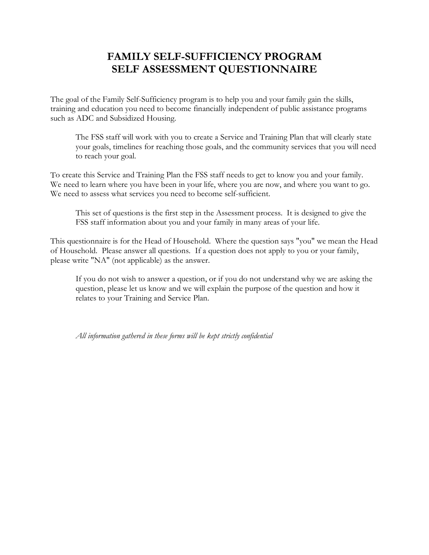# **FAMILY SELF-SUFFICIENCY PROGRAM SELF ASSESSMENT QUESTIONNAIRE**

The goal of the Family Self-Sufficiency program is to help you and your family gain the skills, training and education you need to become financially independent of public assistance programs such as ADC and Subsidized Housing.

The FSS staff will work with you to create a Service and Training Plan that will clearly state your goals, timelines for reaching those goals, and the community services that you will need to reach your goal.

To create this Service and Training Plan the FSS staff needs to get to know you and your family. We need to learn where you have been in your life, where you are now, and where you want to go. We need to assess what services you need to become self-sufficient.

This set of questions is the first step in the Assessment process. It is designed to give the FSS staff information about you and your family in many areas of your life.

This questionnaire is for the Head of Household. Where the question says "you" we mean the Head of Household. Please answer all questions. If a question does not apply to you or your family, please write "NA" (not applicable) as the answer.

If you do not wish to answer a question, or if you do not understand why we are asking the question, please let us know and we will explain the purpose of the question and how it relates to your Training and Service Plan.

*All information gathered in these forms will be kept strictly confidential*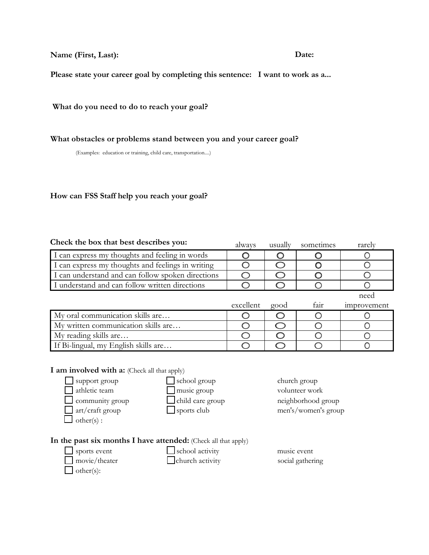**Name (First, Last): Date:** 

**Please state your career goal by completing this sentence: I want to work as a...** 

**What do you need to do to reach your goal?** 

**What obstacles or problems stand between you and your career goal?** 

(Examples: education or training, child care, transportation....)

### **How can FSS Staff help you reach your goal?**

| Check the box that best describes you:            | always    | usually | sometimes | rarely      |
|---------------------------------------------------|-----------|---------|-----------|-------------|
| I can express my thoughts and feeling in words    |           |         |           |             |
| I can express my thoughts and feelings in writing |           |         |           |             |
| I can understand and can follow spoken directions |           |         |           |             |
| I understand and can follow written directions    |           |         |           |             |
|                                                   |           |         |           | need        |
|                                                   | excellent | good    | fair      | improvement |
| My oral communication skills are                  |           |         |           |             |
| My written communication skills are               |           |         |           |             |
| My reading skills are                             |           |         |           |             |
| If Bi-lingual, my English skills are              |           |         |           |             |

## **I** am involved with a: (Check all that apply)



#### **In the past six months I have attended:** (Check all that apply)

 $\Box$  other(s):

 $\Box$  sports event  $\Box$  school activity music event

movie/theater church activity social gathering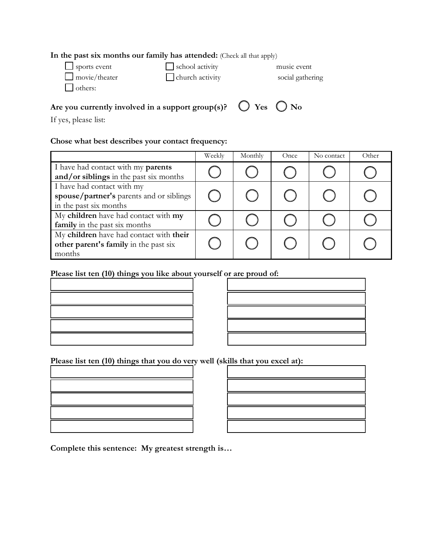#### **In the past six months our family has attended:** (Check all that apply)

| $\Box$ sports event  | $\Box$ school activity | music event      |
|----------------------|------------------------|------------------|
| $\Box$ movie/theater | $\Box$ church activity | social gathering |
| $\Box$ others:       |                        |                  |

## Are you currently involved in a support group(s)?  $\bigcirc$  Yes  $\bigcirc$  No

If yes, please list:

## **Chose what best describes your contact frequency:**

|                                                                                                  | Weekly | Monthly | Once | No contact | Other |
|--------------------------------------------------------------------------------------------------|--------|---------|------|------------|-------|
| I have had contact with my parents<br>and/or siblings in the past six months                     |        |         |      |            |       |
| I have had contact with my<br>spouse/partner's parents and or siblings<br>in the past six months |        |         |      |            |       |
| My children have had contact with my<br>family in the past six months                            |        |         |      |            |       |
| My children have had contact with their<br>other parent's family in the past six<br>months       |        |         |      |            |       |

# **Please list ten (10) things you like about yourself or are proud of:**

| <b>这个人的人都不能在这个人的人,就是一个人的人,就是一个人的人,就是一个人的人,就是一个人的人,就是一个人的人,就是一个人的人,就是一个人的人,</b> |  |
|--------------------------------------------------------------------------------|--|
|                                                                                |  |
|                                                                                |  |

**Please list ten (10) things that you do very well (skills that you excel at):**

**Complete this sentence: My greatest strength is…**